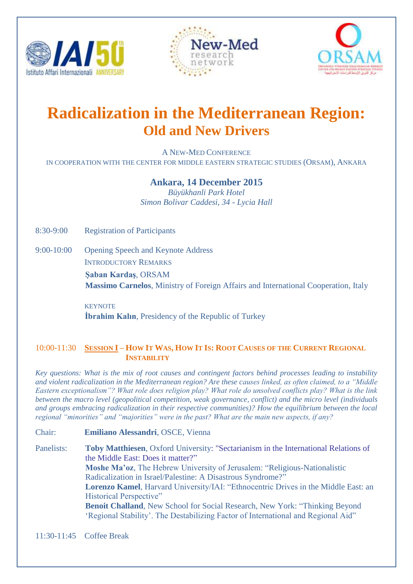





# **Radicalization in the Mediterranean Region: Old and New Drivers**

A NEW-MED CONFERENCE IN COOPERATION WITH THE CENTER FOR MIDDLE EASTERN STRATEGIC STUDIES (ORSAM), ANKARA

## **Ankara, 14 December 2015**

*Büyükhanli Park Hotel Simon Bolivar Caddesi, 34 - Lycia Hall*

8:30-9:00 Registration of Participants

9:00-10:00 Opening Speech and Keynote Address INTRODUCTORY REMARKS **Şaban Kardaş**, ORSAM  **Massimo Carnelos**, Ministry of Foreign Affairs and International Cooperation, Italy

> **KEYNOTE İbrahim Kalın**, Presidency of the Republic of Turkey

## 10:00-11:30 SESSION I - HOW IT WAS, HOW IT IS: ROOT CAUSES OF THE CURRENT REGIONAL  **INSTABILITY**

*Key questions: What is the mix of root causes and contingent factors behind processes leading to instability and violent radicalization in the Mediterranean region? Are these causes linked, as often claimed, to a "Middle Eastern exceptionalism"? What role does religion play? What role do unsolved conflicts play? What is the link between the macro level (geopolitical competition, weak governance, conflict) and the micro level (individuals and groups embracing radicalization in their respective communities)? How the equilibrium between the local regional "minorities" and "majorities" were in the past? What are the main new aspects, if any?*

Chair: **Emiliano Alessandri**, OSCE, Vienna

Panelists: **Toby Matthiesen**, Oxford University: "Sectarianism in the International Relations of the Middle East: Does it matter?" **Moshe Ma'oz**, The Hebrew University of Jerusalem: "Religious-Nationalistic Radicalization in Israel/Palestine: A Disastrous Syndrome?" **Lorenzo Kamel**, Harvard University/IAI: "Ethnocentric Drives in the Middle East: an Historical Perspective" **Benoit Challand**, New School for Social Research, New York: "Thinking Beyond 'Regional Stability'. The Destabilizing Factor of International and Regional Aid"

11:30-11:45 Coffee Break